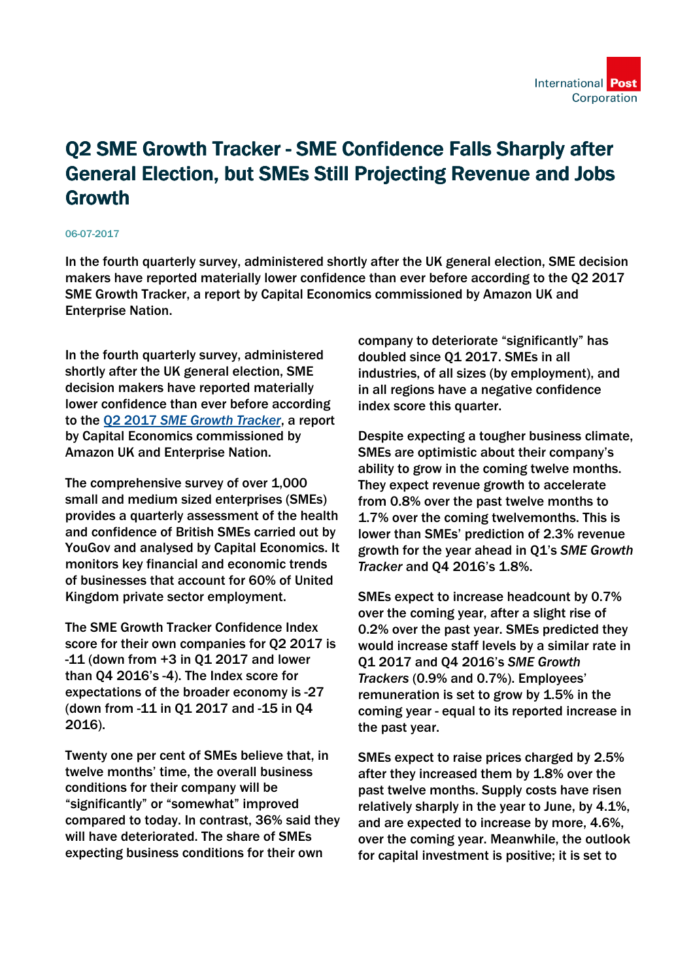

## Q2 SME Growth Tracker - SME Confidence Falls Sharply after General Election, but SMEs Still Projecting Revenue and Jobs Growth

## 06-07-2017

In the fourth quarterly survey, administered shortly after the UK general election, SME decision makers have reported materially lower confidence than ever before according to the Q2 2017 SME Growth Tracker, a report by Capital Economics commissioned by Amazon UK and Enterprise Nation.

In the fourth quarterly survey, administered shortly after the UK general election, SME decision makers have reported materially lower confidence than ever before according to the Q2 2017 *[SME Growth Tracker](http://go.pardot.com/l/105672/2017-07-07/2342mn/105672/61115/Q2_SME_Growth_Tracker___infographic___FINAL.pdf)*, a report by Capital Economics commissioned by Amazon UK and Enterprise Nation.

The comprehensive survey of over 1,000 small and medium sized enterprises (SMEs) provides a quarterly assessment of the health and confidence of British SMEs carried out by YouGov and analysed by Capital Economics. It monitors key financial and economic trends of businesses that account for 60% of United Kingdom private sector employment.

The SME Growth Tracker Confidence Index score for their own companies for Q2 2017 is -11 (down from +3 in Q1 2017 and lower than Q4 2016's -4). The Index score for expectations of the broader economy is -27 (down from -11 in Q1 2017 and -15 in Q4 2016).

Twenty one per cent of SMEs believe that, in twelve months' time, the overall business conditions for their company will be "significantly" or "somewhat" improved compared to today. In contrast, 36% said they will have deteriorated. The share of SMEs expecting business conditions for their own

company to deteriorate "significantly" has doubled since Q1 2017. SMEs in all industries, of all sizes (by employment), and in all regions have a negative confidence index score this quarter.

Despite expecting a tougher business climate, SMEs are optimistic about their company's ability to grow in the coming twelve months. They expect revenue growth to accelerate from 0.8% over the past twelve months to 1.7% over the coming twelvemonths. This is lower than SMEs' prediction of 2.3% revenue growth for the year ahead in Q1's *SME Growth Tracker* and Q4 2016's 1.8%.

SMEs expect to increase headcount by 0.7% over the coming year, after a slight rise of 0.2% over the past year. SMEs predicted they would increase staff levels by a similar rate in Q1 2017 and Q4 2016's *SME Growth Trackers* (0.9% and 0.7%). Employees' remuneration is set to grow by 1.5% in the coming year - equal to its reported increase in the past year.

SMEs expect to raise prices charged by 2.5% after they increased them by 1.8% over the past twelve months. Supply costs have risen relatively sharply in the year to June, by 4.1%, and are expected to increase by more, 4.6%, over the coming year. Meanwhile, the outlook for capital investment is positive; it is set to